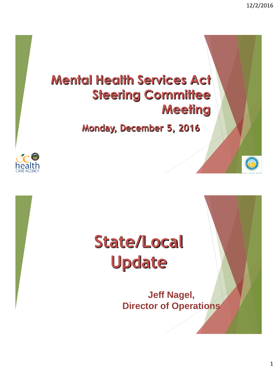

# **State/Local Update**

**Jeff Nagel, Director of Operations**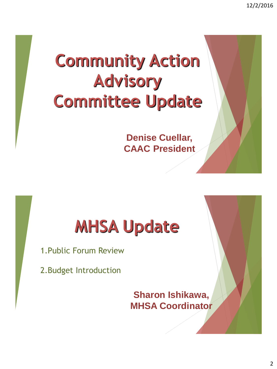12/2/2016

# **Community Action Advisory Committee Update**

**Denise Cuellar, CAAC President**

# **MHSA Update**

1.Public Forum Review

2.Budget Introduction

**Sharon Ishikawa, MHSA Coordinator**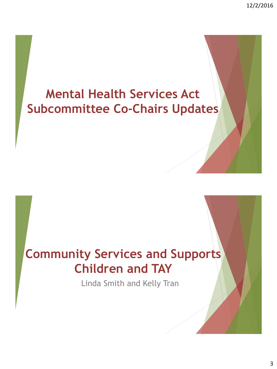12/2/2016

## **Mental Health Services Act Subcommittee Co-Chairs Updates**

## **Community Services and Supports Children and TAY**

Linda Smith and Kelly Tran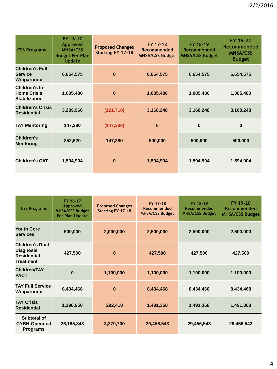| <b>CSS Programs</b>                                          | FY 16-17<br>Approved<br><b>MHSA/CSS</b><br><b>Budget Per Plan</b><br><b>Update</b> | <b>Proposed Changes</b><br><b>Starting FY 17-18</b> | FY 17-18<br>Recommended<br><b>MHSA/CSS Budget</b> | FY 18-19<br>Recommended<br><b>MHSA/CSS Budget</b> | FY 19-20<br>Recommended<br><b>MHSA/CSS</b><br><b>Budget</b> |
|--------------------------------------------------------------|------------------------------------------------------------------------------------|-----------------------------------------------------|---------------------------------------------------|---------------------------------------------------|-------------------------------------------------------------|
| <b>Children's Full</b><br><b>Service</b><br>Wraparound       | 6,654,575                                                                          | $\bf{0}$                                            | 6,654,575                                         | 6,654,575                                         | 6,654,575                                                   |
| Children's In-<br><b>Home Crisis</b><br><b>Stabilization</b> | 1,085,480                                                                          | $\bf{0}$                                            | 1,085,480                                         | 1,085,480                                         | 1,085,480                                                   |
| <b>Children's Crisis</b><br><b>Residential</b>               | 3,289,966                                                                          | (121, 718)                                          | 3,168,248                                         | 3,168,248                                         | 3,168,248                                                   |
| <b>TAY Mentoring</b>                                         | 147,380                                                                            | (147, 380)                                          | $\bf{0}$                                          | $\bf{0}$                                          | $\bf{0}$                                                    |
| Children's<br><b>Mentoring</b>                               | 352,620                                                                            | 147,380                                             | 500,000                                           | 500,000                                           | 500,000                                                     |
| <b>Children's CAT</b>                                        | 1,594,904                                                                          | $\bf{0}$                                            | 1,594,904                                         | 1,594,904                                         | 1,594,904                                                   |

| <b>CSS Programs</b>                                                                  | FY 16-17<br>Approved<br><b>MHSA/CSS Budget</b><br>Per Plan Update | <b>Proposed Changes</b><br><b>Starting FY 17-18</b> | FY 17-18<br>Recommended<br><b>MHSA/CSS Budget</b> | FY 18-19<br>Recommended<br><b>MHSA/CSS Budget</b> | FY 19-20<br><b>Recommended</b><br><b>MHSA/CSS Budget</b> |
|--------------------------------------------------------------------------------------|-------------------------------------------------------------------|-----------------------------------------------------|---------------------------------------------------|---------------------------------------------------|----------------------------------------------------------|
| <b>Youth Core</b><br><b>Services</b>                                                 | 500,000                                                           | 2,000,000                                           | 2,500,000                                         | 2,500,000                                         | 2,500,000                                                |
| <b>Children's Dual</b><br><b>Diagnosis</b><br><b>Residential</b><br><b>Treatment</b> | 427,500                                                           | $\bf{0}$                                            | 427,500                                           | 427,500                                           | 427,500                                                  |
| <b>Children/TAY</b><br><b>PACT</b>                                                   | $\bf{0}$                                                          | 1,100,000                                           | 1,100,000                                         | 1,100,000                                         | 1,100,000                                                |
| <b>TAY Full Service</b><br>Wraparound                                                | 8,434,468                                                         | $\bf{0}$                                            | 8,434,468                                         | 8,434,468                                         | 8,434,468                                                |
| <b>TAY Crisis</b><br><b>Residential</b>                                              | 1,198,950                                                         | 292,418                                             | 1,491,368                                         | 1,491,368                                         | 1,491,368                                                |
| Subtotal of<br><b>CYBH-Operated</b><br><b>Programs</b>                               | 26, 185, 843                                                      | 3,270,700                                           | 29,456,543                                        | 29,456,543                                        | 29,456,543                                               |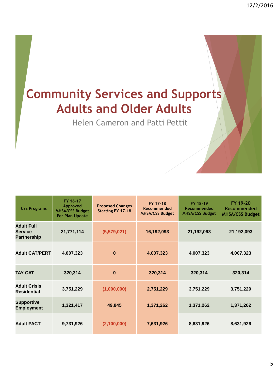## **Community Services and Supports Adults and Older Adults**

Helen Cameron and Patti Pettit

| <b>CSS Programs</b>                                | FY 16-17<br>Approved<br><b>MHSA/CSS Budget</b><br>Per Plan Update | <b>Proposed Changes</b><br><b>Starting FY 17-18</b> | FY 17-18<br>Recommended<br><b>MHSA/CSS Budget</b> | FY 18-19<br>Recommended<br><b>MHSA/CSS Budget</b> | FY 19-20<br>Recommended<br><b>MHSA/CSS Budget</b> |
|----------------------------------------------------|-------------------------------------------------------------------|-----------------------------------------------------|---------------------------------------------------|---------------------------------------------------|---------------------------------------------------|
| <b>Adult Full</b><br>Service<br><b>Partnership</b> | 21,771,114                                                        | (5,579,021)                                         | 16,192,093                                        | 21,192,093                                        | 21,192,093                                        |
| <b>Adult CAT/PERT</b>                              | 4,007,323                                                         | $\bf{0}$                                            | 4,007,323                                         | 4,007,323                                         | 4,007,323                                         |
| <b>TAY CAT</b>                                     | 320,314                                                           | $\bf{0}$                                            | 320,314                                           | 320,314                                           | 320,314                                           |
| <b>Adult Crisis</b><br><b>Residential</b>          | 3,751,229                                                         | (1,000,000)                                         | 2,751,229                                         | 3,751,229                                         | 3,751,229                                         |
| <b>Supportive</b><br><b>Employment</b>             | 1,321,417                                                         | 49,845                                              | 1,371,262                                         | 1,371,262                                         | 1,371,262                                         |
| <b>Adult PACT</b>                                  | 9,731,926                                                         | (2,100,000)                                         | 7,631,926                                         | 8,631,926                                         | 8,631,926                                         |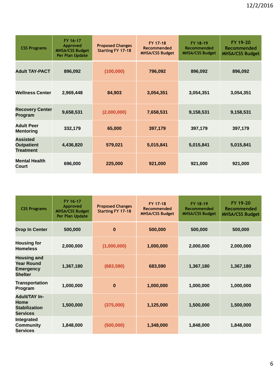| <b>CSS Programs</b>                                      | FY 16-17<br>Approved<br><b>MHSA/CSS Budget</b><br>Per Plan Update | <b>Proposed Changes</b><br><b>Starting FY 17-18</b> | FY 17-18<br>Recommended<br><b>MHSA/CSS Budget</b> | FY 18-19<br>Recommended<br><b>MHSA/CSS Budget</b> | FY 19-20<br>Recommended<br><b>MHSA/CSS Budget</b> |
|----------------------------------------------------------|-------------------------------------------------------------------|-----------------------------------------------------|---------------------------------------------------|---------------------------------------------------|---------------------------------------------------|
| <b>Adult TAY-PACT</b>                                    | 896,092                                                           | (100,000)                                           | 796,092                                           | 896,092                                           | 896,092                                           |
| <b>Wellness Center</b>                                   | 2,969,448                                                         | 84,903                                              | 3,054,351                                         | 3,054,351                                         | 3,054,351                                         |
| <b>Recovery Center</b><br>Program                        | 9,658,531                                                         | (2,000,000)                                         | 7,658,531                                         | 9,158,531                                         | 9,158,531                                         |
| <b>Adult Peer</b><br><b>Mentoring</b>                    | 332,179                                                           | 65,000                                              | 397,179                                           | 397,179                                           | 397,179                                           |
| <b>Assisted</b><br><b>Outpatient</b><br><b>Treatment</b> | 4,436,820                                                         | 579,021                                             | 5,015,841                                         | 5,015,841                                         | 5,015,841                                         |
| <b>Mental Health</b><br>Court                            | 696,000                                                           | 225,000                                             | 921,000                                           | 921,000                                           | 921,000                                           |

| <b>CSS Programs</b>                                                           | FY 16-17<br>Approved<br><b>MHSA/CSS Budget</b><br>Per Plan Update | <b>Proposed Changes</b><br><b>Starting FY 17-18</b> | FY 17-18<br>Recommended<br><b>MHSA/CSS Budget</b> | FY 18-19<br>Recommended<br><b>MHSA/CSS Budget</b> | FY 19-20<br>Recommended<br><b>MHSA/CSS Budget</b> |
|-------------------------------------------------------------------------------|-------------------------------------------------------------------|-----------------------------------------------------|---------------------------------------------------|---------------------------------------------------|---------------------------------------------------|
| <b>Drop In Center</b>                                                         | 500,000                                                           | $\bf{0}$                                            | 500,000                                           | 500,000                                           | 500,000                                           |
| <b>Housing for</b><br><b>Homeless</b>                                         | 2,000,000                                                         | (1,000,000)                                         | 1,000,000                                         | 2,000,000                                         | 2,000,000                                         |
| <b>Housing and</b><br><b>Year Round</b><br><b>Emergency</b><br><b>Shelter</b> | 1,367,180                                                         | (683, 590)                                          | 683,590                                           | 1,367,180                                         | 1,367,180                                         |
| <b>Transportation</b><br>Program                                              | 1,000,000                                                         | $\bf{0}$                                            | 1,000,000                                         | 1,000,000                                         | 1,000,000                                         |
| <b>Adult/TAY In-</b><br>Home<br><b>Stabilization</b><br><b>Services</b>       | 1,500,000                                                         | (375,000)                                           | 1,125,000                                         | 1,500,000                                         | 1,500,000                                         |
| <b>Integrated</b><br><b>Community</b><br><b>Services</b>                      | 1,848,000                                                         | (500,000)                                           | 1,348,000                                         | 1,848,000                                         | 1,848,000                                         |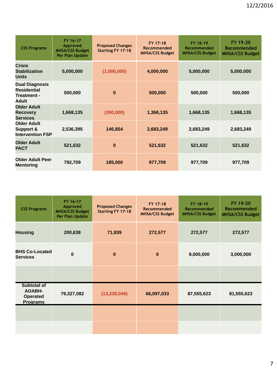| <b>CSS Programs</b>                                                        | FY 16-17<br>Approved<br><b>MHSA/CSS Budget</b><br>Per Plan Update | <b>Proposed Changes</b><br><b>Starting FY 17-18</b> | FY 17-18<br>Recommended<br><b>MHSA/CSS Budget</b> | FY 18-19<br>Recommended<br><b>MHSA/CSS Budget</b> | FY 19-20<br>Recommended<br><b>MHSA/CSS Budget</b> |
|----------------------------------------------------------------------------|-------------------------------------------------------------------|-----------------------------------------------------|---------------------------------------------------|---------------------------------------------------|---------------------------------------------------|
| <b>Crisis</b><br><b>Stabilization</b><br>Units                             | 5,000,000                                                         | (1,000,000)                                         | 4,000,000                                         | 5,000,000                                         | 5,000,000                                         |
| <b>Dual Diagnosis</b><br><b>Residential</b><br>Treatment -<br><b>Adult</b> | 500,000                                                           | 0                                                   | 500,000                                           | 500,000                                           | 500,000                                           |
| <b>Older Adult</b><br><b>Recovery</b><br><b>Services</b>                   | 1,668,135                                                         | (300,000)                                           | 1,368,135                                         | 1,668,135                                         | 1,668,135                                         |
| <b>Older Adult</b><br>Support &<br><b>Intervention FSP</b>                 | 2,536,395                                                         | 146,854                                             | 2,683,249                                         | 2,683,249                                         | 2,683,249                                         |
| <b>Older Adult</b><br><b>PACT</b>                                          | 521,632                                                           | 0                                                   | 521,632                                           | 521,632                                           | 521,632                                           |
| <b>Older Adult Peer</b><br><b>Mentoring</b>                                | 792,709                                                           | 185,000                                             | 977,709                                           | 977,709                                           | 977,709                                           |

| <b>CSS Programs</b>                                                | FY 16-17<br>Approved<br><b>MHSA/CSS Budget</b><br>Per Plan Update | <b>Proposed Changes</b><br><b>Starting FY 17-18</b> | FY 17-18<br>Recommended<br><b>MHSA/CSS Budget</b> | FY 18-19<br>Recommended<br><b>MHSA/CSS Budget</b> | FY 19-20<br>Recommended<br><b>MHSA/CSS Budget</b> |
|--------------------------------------------------------------------|-------------------------------------------------------------------|-----------------------------------------------------|---------------------------------------------------|---------------------------------------------------|---------------------------------------------------|
| <b>Housing</b>                                                     | 200,638                                                           | 71,939                                              | 272,577                                           | 272,577                                           | 272,577                                           |
| <b>BHS Co-Located</b><br><b>Services</b>                           | $\bf{0}$                                                          | $\bf{0}$                                            | $\bf{0}$                                          | 9,000,000                                         | 3,000,000                                         |
|                                                                    |                                                                   |                                                     |                                                   |                                                   |                                                   |
| Subtotal of<br><b>AOABH-</b><br><b>Operated</b><br><b>Programs</b> | 79,327,082                                                        | (13, 230, 049)                                      | 66,097,033                                        | 87,555,623                                        | 81,555,623                                        |
|                                                                    |                                                                   |                                                     |                                                   |                                                   |                                                   |
|                                                                    |                                                                   |                                                     |                                                   |                                                   |                                                   |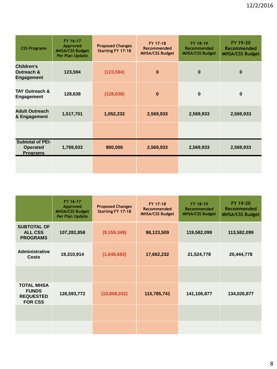| <b>CSS Programs</b>                                           | FY 16-17<br>Approved<br><b>MHSA/CSS Budget</b><br>Per Plan Update | <b>Proposed Changes</b><br><b>Starting FY 17-18</b> | FY 17-18<br>Recommended<br><b>MHSA/CSS Budget</b> | FY 18-19<br>Recommended<br><b>MHSA/CSS Budget</b> | FY 19-20<br>Recommended<br><b>MHSA/CSS Budget</b> |
|---------------------------------------------------------------|-------------------------------------------------------------------|-----------------------------------------------------|---------------------------------------------------|---------------------------------------------------|---------------------------------------------------|
| <b>Children's</b><br>Outreach &<br><b>Engagement</b>          | 123,594                                                           | (123, 594)                                          | $\bf{0}$                                          | $\bf{0}$                                          | $\bf{0}$                                          |
| <b>TAY Outreach &amp;</b><br><b>Engagement</b>                | 128,638                                                           | (128, 638)                                          | $\bf{0}$                                          | $\bf{0}$                                          | $\bf{0}$                                          |
| <b>Adult Outreach</b><br>& Engagement                         | 1,517,701                                                         | 1,052,232                                           | 2,569,933                                         | 2,569,933                                         | 2,569,933                                         |
|                                                               |                                                                   |                                                     |                                                   |                                                   |                                                   |
| <b>Subtotal of PEI-</b><br><b>Operated</b><br><b>Programs</b> | 1,769,933                                                         | 800,000                                             | 2,569,933                                         | 2,569,933                                         | 2,569,933                                         |
|                                                               |                                                                   |                                                     |                                                   |                                                   |                                                   |

|                                                                         | FY 16-17<br>Approved<br><b>MHSA/CSS Budget</b><br>Per Plan Update | <b>Proposed Changes</b><br><b>Starting FY 17-18</b> | FY 17-18<br>Recommended<br><b>MHSA/CSS Budget</b> | FY 18-19<br>Recommended<br><b>MHSA/CSS Budget</b> | FY 19-20<br>Recommended<br><b>MHSA/CSS Budget</b> |
|-------------------------------------------------------------------------|-------------------------------------------------------------------|-----------------------------------------------------|---------------------------------------------------|---------------------------------------------------|---------------------------------------------------|
| <b>SUBTOTAL OF</b><br><b>ALL CSS</b><br><b>PROGRAMS</b>                 | 107,282,858                                                       | (9, 159, 349)                                       | 98,123,509                                        | 119,582,099                                       | 113,582,099                                       |
| Administrative<br><b>Costs</b>                                          | 19,310,914                                                        | (1,648,683)                                         | 17,662,232                                        | 21,524,778                                        | 20,444,778                                        |
|                                                                         |                                                                   |                                                     |                                                   |                                                   |                                                   |
| <b>TOTAL MHSA</b><br><b>FUNDS</b><br><b>REQUESTED</b><br><b>FOR CSS</b> | 126,593,772                                                       | (10,808,032)                                        | 115,785,741                                       | 141,106,877                                       | 134,026,877                                       |
|                                                                         |                                                                   |                                                     |                                                   |                                                   |                                                   |
|                                                                         |                                                                   |                                                     |                                                   |                                                   |                                                   |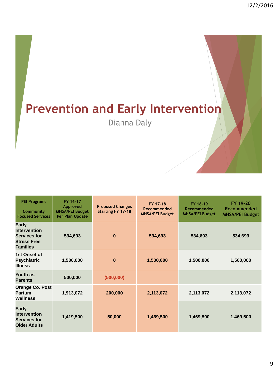# **Prevention and Early Intervention**

Dianna Daly

| <b>PEI Programs</b><br>Community<br><b>Focused Services</b>                                  | FY 16-17<br>Approved<br><b>MHSA/PEI Budget</b><br>Per Plan Update | <b>Proposed Changes</b><br><b>Starting FY 17-18</b> | FY 17-18<br>Recommended<br><b>MHSA/PEI Budget</b> | FY 18-19<br>Recommended<br><b>MHSA/PEI Budget</b> | FY 19-20<br>Recommended<br><b>MHSA/PEI Budget</b> |
|----------------------------------------------------------------------------------------------|-------------------------------------------------------------------|-----------------------------------------------------|---------------------------------------------------|---------------------------------------------------|---------------------------------------------------|
| Early<br><b>Intervention</b><br><b>Services for</b><br><b>Stress Free</b><br><b>Families</b> | 534,693                                                           | $\bf{0}$                                            | 534,693                                           | 534,693                                           | 534,693                                           |
| 1st Onset of<br><b>Psychiatric</b><br><b>Illness</b>                                         | 1,500,000                                                         | $\bf{0}$                                            | 1,500,000                                         | 1,500,000                                         | 1,500,000                                         |
| Youth as<br><b>Parents</b>                                                                   | 500,000                                                           | (500,000)                                           |                                                   |                                                   |                                                   |
| <b>Orange Co. Post</b><br><b>Partum</b><br>Wellness                                          | 1,913,072                                                         | 200,000                                             | 2,113,072                                         | 2,113,072                                         | 2,113,072                                         |
| Early<br><b>Intervention</b><br><b>Services for</b><br><b>Older Adults</b>                   | 1,419,500                                                         | 50,000                                              | 1,469,500                                         | 1,469,500                                         | 1,469,500                                         |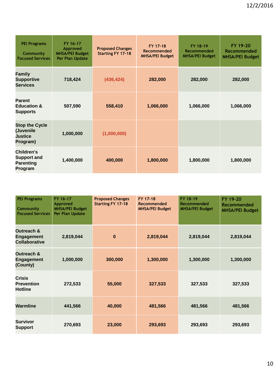| <b>PEI Programs</b><br>Community<br><b>Focused Services</b>      | FY 16-17<br>Approved<br><b>MHSA/PEI Budget</b><br>Per Plan Update | <b>Proposed Changes</b><br><b>Starting FY 17-18</b> | FY 17-18<br>Recommended<br><b>MHSA/PEI Budget</b> | FY 18-19<br>Recommended<br><b>MHSA/PEI Budget</b> | FY 19-20<br>Recommended<br><b>MHSA/PEI Budget</b> |
|------------------------------------------------------------------|-------------------------------------------------------------------|-----------------------------------------------------|---------------------------------------------------|---------------------------------------------------|---------------------------------------------------|
| <b>Family</b><br><b>Supportive</b><br><b>Services</b>            | 718,424                                                           | (436, 424)                                          | 282,000                                           | 282,000                                           | 282,000                                           |
| <b>Parent</b><br><b>Education &amp;</b><br><b>Supports</b>       | 507,590                                                           | 558,410                                             | 1,066,000                                         | 1,066,000                                         | 1,066,000                                         |
| <b>Stop the Cycle</b><br>(Juvenile<br><b>Justice</b><br>Program) | 1,000,000                                                         | (1,000,000)                                         |                                                   |                                                   |                                                   |
| Children's<br><b>Support and</b><br><b>Parenting</b><br>Program  | 1,400,000                                                         | 400,000                                             | 1,800,000                                         | 1,800,000                                         | 1,800,000                                         |

| <b>PEI Programs</b><br>Community<br><b>Focused Services</b>        | FY 16-17<br>Approved<br><b>MHSA/PEI Budget</b><br>Per Plan Update | <b>Proposed Changes</b><br><b>Starting FY 17-18</b> | FY 17-18<br>Recommended<br><b>MHSA/PEI Budget</b> | FY 18-19<br>Recommended<br><b>MHSA/PEI Budget</b> | FY 19-20<br>Recommended<br><b>MHSA/PEI Budget</b> |
|--------------------------------------------------------------------|-------------------------------------------------------------------|-----------------------------------------------------|---------------------------------------------------|---------------------------------------------------|---------------------------------------------------|
| <b>Outreach &amp;</b><br><b>Engagement</b><br><b>Collaborative</b> | 2,819,044                                                         | $\bf{0}$                                            | 2,819,044                                         | 2,819,044                                         | 2,819,044                                         |
| <b>Outreach &amp;</b><br><b>Engagement</b><br>(County)             | 1,000,000                                                         | 300,000                                             | 1,300,000                                         | 1,300,000                                         | 1,300,000                                         |
| <b>Crisis</b><br><b>Prevention</b><br><b>Hotline</b>               | 272,533                                                           | 55,000                                              | 327,533                                           | 327,533                                           | 327,533                                           |
| Warmline                                                           | 441,566                                                           | 40,000                                              | 481,566                                           | 481,566                                           | 481,566                                           |
| <b>Survivor</b><br><b>Support</b>                                  | 270,693                                                           | 23,000                                              | 293,693                                           | 293,693                                           | 293,693                                           |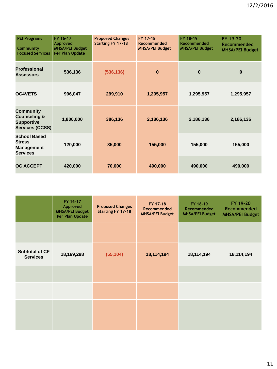| <b>PEI Programs</b><br>Community<br><b>Focused Services</b>                         | FY 16-17<br>Approved<br><b>MHSA/PEI Budget</b><br>Per Plan Update | <b>Proposed Changes</b><br><b>Starting FY 17-18</b> | FY 17-18<br>Recommended<br><b>MHSA/PEI Budget</b> | FY 18-19<br>Recommended<br><b>MHSA/PEI Budget</b> | FY 19-20<br>Recommended<br><b>MHSA/PEI Budget</b> |
|-------------------------------------------------------------------------------------|-------------------------------------------------------------------|-----------------------------------------------------|---------------------------------------------------|---------------------------------------------------|---------------------------------------------------|
| <b>Professional</b><br><b>Assessors</b>                                             | 536,136                                                           | (536, 136)                                          | $\bf{0}$                                          | $\bf{0}$                                          | $\bf{0}$                                          |
| <b>OC4VETS</b>                                                                      | 996,047                                                           | 299,910                                             | 1,295,957                                         | 1,295,957                                         | 1,295,957                                         |
| Community<br><b>Counseling &amp;</b><br><b>Supportive</b><br><b>Services (CCSS)</b> | 1,800,000                                                         | 386,136                                             | 2,186,136                                         | 2,186,136                                         | 2,186,136                                         |
| <b>School Based</b><br><b>Stress</b><br><b>Management</b><br><b>Services</b>        | 120,000                                                           | 35,000                                              | 155,000                                           | 155,000                                           | 155,000                                           |
| <b>OC ACCEPT</b>                                                                    | 420,000                                                           | 70,000                                              | 490,000                                           | 490,000                                           | 490,000                                           |

|                                          | FY 16-17<br>Approved<br><b>MHSA/PEI Budget</b><br>Per Plan Update | <b>Proposed Changes</b><br><b>Starting FY 17-18</b> | FY 17-18<br>Recommended<br><b>MHSA/PEI Budget</b> | FY 18-19<br>Recommended<br><b>MHSA/PEI Budget</b> | FY 19-20<br>Recommended<br><b>MHSA/PEI Budget</b> |
|------------------------------------------|-------------------------------------------------------------------|-----------------------------------------------------|---------------------------------------------------|---------------------------------------------------|---------------------------------------------------|
|                                          |                                                                   |                                                     |                                                   |                                                   |                                                   |
| <b>Subtotal of CF</b><br><b>Services</b> | 18,169,298                                                        | (55, 104)                                           | 18,114,194                                        | 18,114,194                                        | 18,114,194                                        |
|                                          |                                                                   |                                                     |                                                   |                                                   |                                                   |
|                                          |                                                                   |                                                     |                                                   |                                                   |                                                   |
|                                          |                                                                   |                                                     |                                                   |                                                   |                                                   |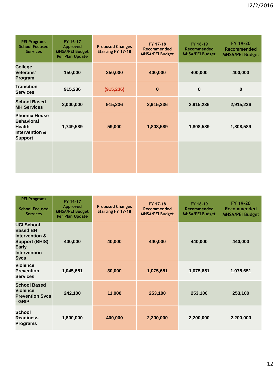| <b>PEI Programs</b><br><b>School Focused</b><br><b>Services</b>                                | FY 16-17<br>Approved<br><b>MHSA/PEI Budget</b><br>Per Plan Update | <b>Proposed Changes</b><br><b>Starting FY 17-18</b> | FY 17-18<br>Recommended<br><b>MHSA/PEI Budget</b> | FY 18-19<br>Recommended<br><b>MHSA/PEI Budget</b> | FY 19-20<br>Recommended<br><b>MHSA/PEI Budget</b> |
|------------------------------------------------------------------------------------------------|-------------------------------------------------------------------|-----------------------------------------------------|---------------------------------------------------|---------------------------------------------------|---------------------------------------------------|
| <b>College</b><br>Veterans'<br>Program                                                         | 150,000                                                           | 250,000                                             | 400,000                                           | 400,000                                           | 400,000                                           |
| <b>Transition</b><br><b>Services</b>                                                           | 915,236                                                           | (915, 236)                                          | $\bf{0}$                                          | $\bf{0}$                                          | $\bf{0}$                                          |
| <b>School Based</b><br><b>MH Services</b>                                                      | 2,000,000                                                         | 915,236                                             | 2,915,236                                         | 2,915,236                                         | 2,915,236                                         |
| <b>Phoenix House</b><br><b>Behavioral</b><br><b>Health</b><br>Intervention &<br><b>Support</b> | 1,749,589                                                         | 59,000                                              | 1,808,589                                         | 1,808,589                                         | 1,808,589                                         |
|                                                                                                |                                                                   |                                                     |                                                   |                                                   |                                                   |

| <b>PEI Programs</b><br><b>School Focused</b><br><b>Services</b>                                                                    | FY 16-17<br>Approved<br><b>MHSA/PEI Budget</b><br>Per Plan Update | <b>Proposed Changes</b><br><b>Starting FY 17-18</b> | FY 17-18<br>Recommended<br><b>MHSA/PEI Budget</b> | FY 18-19<br>Recommended<br><b>MHSA/PEI Budget</b> | FY 19-20<br>Recommended<br><b>MHSA/PEI Budget</b> |
|------------------------------------------------------------------------------------------------------------------------------------|-------------------------------------------------------------------|-----------------------------------------------------|---------------------------------------------------|---------------------------------------------------|---------------------------------------------------|
| <b>UCI School</b><br><b>Based BH</b><br><b>Intervention &amp;</b><br>Support (BHIS)<br>Early<br><b>Intervention</b><br><b>Svcs</b> | 400,000                                                           | 40,000                                              | 440,000                                           | 440,000                                           | 440,000                                           |
| <b>Violence</b><br>Prevention<br><b>Services</b>                                                                                   | 1,045,651                                                         | 30,000                                              | 1,075,651                                         | 1,075,651                                         | 1,075,651                                         |
| <b>School Based</b><br><b>Violence</b><br><b>Prevention Sycs</b><br>- GRIP                                                         | 242,100                                                           | 11,000                                              | 253,100                                           | 253,100                                           | 253,100                                           |
| School<br><b>Readiness</b><br><b>Programs</b>                                                                                      | 1,800,000                                                         | 400,000                                             | 2,200,000                                         | 2,200,000                                         | 2,200,000                                         |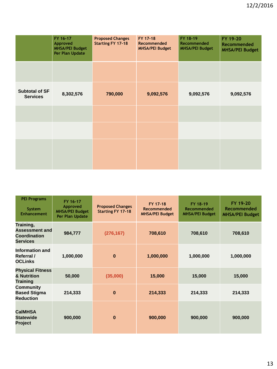|                                          | FY 16-17<br>Approved<br><b>MHSA/PEI Budget</b><br>Per Plan Update | <b>Proposed Changes</b><br><b>Starting FY 17-18</b> | FY 17-18<br>Recommended<br><b>MHSA/PEI Budget</b> | FY 18-19<br>Recommended<br><b>MHSA/PEI Budget</b> | FY 19-20<br><b>Recommended</b><br><b>MHSA/PEI Budget</b> |
|------------------------------------------|-------------------------------------------------------------------|-----------------------------------------------------|---------------------------------------------------|---------------------------------------------------|----------------------------------------------------------|
|                                          |                                                                   |                                                     |                                                   |                                                   |                                                          |
| <b>Subtotal of SF</b><br><b>Services</b> | 8,302,576                                                         | 790,000                                             | 9,092,576                                         | 9,092,576                                         | 9,092,576                                                |
|                                          |                                                                   |                                                     |                                                   |                                                   |                                                          |
|                                          |                                                                   |                                                     |                                                   |                                                   |                                                          |
|                                          |                                                                   |                                                     |                                                   |                                                   |                                                          |
|                                          |                                                                   |                                                     |                                                   |                                                   |                                                          |

| <b>PEI Programs</b><br>System<br><b>Enhancement</b>                          | FY 16-17<br>Approved<br><b>MHSA/PEI Budget</b><br>Per Plan Update | <b>Proposed Changes</b><br><b>Starting FY 17-18</b> | FY 17-18<br>Recommended<br><b>MHSA/PEI Budget</b> | FY 18-19<br>Recommended<br><b>MHSA/PEI Budget</b> | FY 19-20<br>Recommended<br><b>MHSA/PEI Budget</b> |
|------------------------------------------------------------------------------|-------------------------------------------------------------------|-----------------------------------------------------|---------------------------------------------------|---------------------------------------------------|---------------------------------------------------|
| Training,<br><b>Assessment and</b><br><b>Coordination</b><br><b>Services</b> | 984,777                                                           | (276, 167)                                          | 708,610                                           | 708,610                                           | 708,610                                           |
| Information and<br>Referral /<br><b>OCLinks</b>                              | 1,000,000                                                         | $\bf{0}$                                            | 1,000,000                                         | 1,000,000                                         | 1,000,000                                         |
| <b>Physical Fitness</b><br>& Nutrition<br>Training                           | 50,000                                                            | (35,000)                                            | 15,000                                            | 15,000                                            | 15,000                                            |
| <b>Community</b><br><b>Based Stigma</b><br><b>Reduction</b>                  | 214,333                                                           | $\bf{0}$                                            | 214,333                                           | 214,333                                           | 214,333                                           |
| <b>CalMHSA</b><br><b>Statewide</b><br><b>Project</b>                         | 900,000                                                           | $\bf{0}$                                            | 900,000                                           | 900,000                                           | 900,000                                           |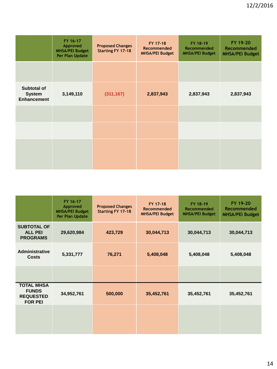|                                                           | FY 16-17<br>Approved<br><b>MHSA/PEI Budget</b><br>Per Plan Update | <b>Proposed Changes</b><br><b>Starting FY 17-18</b> | FY 17-18<br>Recommended<br><b>MHSA/PEI Budget</b> | FY 18-19<br>Recommended<br><b>MHSA/PEI Budget</b> | FY 19-20<br>Recommended<br><b>MHSA/PEI Budget</b> |
|-----------------------------------------------------------|-------------------------------------------------------------------|-----------------------------------------------------|---------------------------------------------------|---------------------------------------------------|---------------------------------------------------|
|                                                           |                                                                   |                                                     |                                                   |                                                   |                                                   |
| <b>Subtotal of</b><br><b>System</b><br><b>Enhancement</b> | 3,149,110                                                         | (311, 167)                                          | 2,837,943                                         | 2,837,943                                         | 2,837,943                                         |
|                                                           |                                                                   |                                                     |                                                   |                                                   |                                                   |
|                                                           |                                                                   |                                                     |                                                   |                                                   |                                                   |
|                                                           |                                                                   |                                                     |                                                   |                                                   |                                                   |
|                                                           |                                                                   |                                                     |                                                   |                                                   |                                                   |

|                                                                         | FY 16-17<br>Approved<br><b>MHSA/PEI Budget</b><br>Per Plan Update | <b>Proposed Changes</b><br><b>Starting FY 17-18</b> | FY 17-18<br>Recommended<br><b>MHSA/PEI Budget</b> | FY 18-19<br>Recommended<br><b>MHSA/PEI Budget</b> | FY 19-20<br><b>Recommended</b><br><b>MHSA/PEI Budget</b> |
|-------------------------------------------------------------------------|-------------------------------------------------------------------|-----------------------------------------------------|---------------------------------------------------|---------------------------------------------------|----------------------------------------------------------|
| <b>SUBTOTAL OF</b><br><b>ALL PEI</b><br><b>PROGRAMS</b>                 | 29,620,984                                                        | 423,729                                             | 30,044,713                                        | 30,044,713                                        | 30,044,713                                               |
| <b>Administrative</b><br><b>Costs</b>                                   | 5,331,777                                                         | 76,271                                              | 5,408,048                                         | 5,408,048                                         | 5,408,048                                                |
|                                                                         |                                                                   |                                                     |                                                   |                                                   |                                                          |
| <b>TOTAL MHSA</b><br><b>FUNDS</b><br><b>REQUESTED</b><br><b>FOR PEI</b> | 34,952,761                                                        | 500,000                                             | 35,452,761                                        | 35,452,761                                        | 35,452,761                                               |
|                                                                         |                                                                   |                                                     |                                                   |                                                   |                                                          |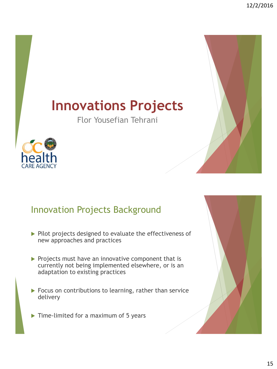# **Innovations Projects**

Flor Yousefian Tehrani



### Innovation Projects Background

- $\triangleright$  Pilot projects designed to evaluate the effectiveness of new approaches and practices
- $\triangleright$  Projects must have an innovative component that is currently not being implemented elsewhere, or is an adaptation to existing practices
- Focus on contributions to learning, rather than service delivery
- $\triangleright$  Time-limited for a maximum of 5 years

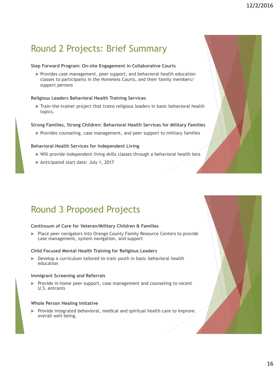### Round 2 Projects: Brief Summary

#### **Step Forward Program: On-site Engagement in Collaborative Courts**

 Provides case management, peer support, and behavioral health education classes to participants in the Homeless Courts, and their family members/ support persons

### **Religious Leaders Behavioral Health Training Services**

Train-the-trainer project that trains religious leaders in basic behavioral health topics.

### **Strong Families, Strong Children: Behavioral Health Services for Military Families**

Provides counseling, case management, and peer support to military families

### **Behavioral Health Services for Independent Living**

- Will provide independent living skills classes through a behavioral health lens
- Anticipated start date: July 1, 2017

### Round 3 Proposed Projects

### **Continuum of Care for Veteran/Military Children & Families**

 Place peer navigators into Orange County Family Resource Centers to provide case management, system navigation, and support

#### **Child Focused Mental Health Training for Religious Leaders**

▶ Develop a curriculum tailored to train youth in basic behavioral health education

#### **Immigrant Screening and Referrals**

 $\blacktriangleright$  Provide in-home peer support, case management and counseling to recent U.S. entrants

#### **Whole Person Healing Imitative**

 $\triangleright$  Provide integrated behavioral, medical and spiritual health care to improve overall well-being.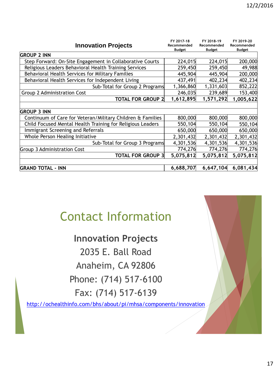| FY 2017-18                   | FY 2018-19                   | FY 2019-20                                     |
|------------------------------|------------------------------|------------------------------------------------|
| Recommended<br><b>Budget</b> | Recommended<br><b>Budget</b> | Recommended<br><b>Budget</b>                   |
|                              |                              |                                                |
| 224,015                      | 224,015                      | 200,000                                        |
| 259,450                      |                              | 49,988                                         |
| 445,904                      | 445,904                      | 200,000                                        |
| 437,491                      | 402,234                      | 402,234                                        |
|                              | 1,331,603                    | 852,222                                        |
| 246,035                      | 239,689                      | 153,400                                        |
| 1,612,895                    | 1,571,292                    | 1,005,622                                      |
|                              |                              |                                                |
|                              |                              |                                                |
| 800,000                      | 800,000                      | 800,000                                        |
| 550,104                      | 550,104                      | 550,104                                        |
| 650,000                      | 650,000                      | 650,000                                        |
| 2,301,432                    | 2,301,432                    | 2,301,432                                      |
| 4,301,536                    | 4,301,536                    | 4,301,536                                      |
| 774,276                      | 774,276                      | 774,276                                        |
|                              | 5,075,812                    | 5,075,812                                      |
|                              |                              |                                                |
| 6,688,707                    |                              | 6,081,434                                      |
|                              |                              | 259,450<br>1,366,860<br>5,075,812<br>6,647,104 |

## Contact Information

**Innovation Projects** 2035 E. Ball Road Anaheim, CA 92806 Phone: (714) 517-6100 Fax: (714) 517-6139

<http://ochealthinfo.com/bhs/about/pi/mhsa/components/innovation>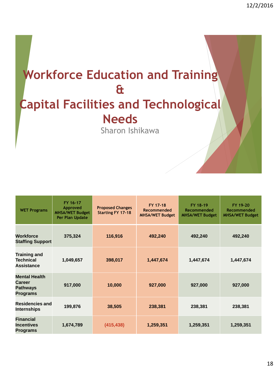# **Workforce Education and Training & Capital Facilities and Technological Needs** Sharon Ishikawa

| <b>WET Programs</b>                                                  | FY 16-17<br>Approved<br><b>MHSA/WET Budget</b><br>Per Plan Update | <b>Proposed Changes</b><br><b>Starting FY 17-18</b> | FY 17-18<br>Recommended<br><b>MHSA/WET Budget</b> | FY 18-19<br>Recommended<br><b>MHSA/WET Budget</b> | FY 19-20<br>Recommended<br><b>MHSA/WET Budget</b> |
|----------------------------------------------------------------------|-------------------------------------------------------------------|-----------------------------------------------------|---------------------------------------------------|---------------------------------------------------|---------------------------------------------------|
| <b>Workforce</b><br><b>Staffing Support</b>                          | 375,324                                                           | 116,916                                             | 492,240                                           | 492,240                                           | 492,240                                           |
| <b>Training and</b><br><b>Technical</b><br><b>Assistance</b>         | 1,049,657                                                         | 398,017                                             | 1,447,674                                         | 1,447,674                                         | 1,447,674                                         |
| <b>Mental Health</b><br>Career<br><b>Pathways</b><br><b>Programs</b> | 917,000                                                           | 10,000                                              | 927,000                                           | 927,000                                           | 927,000                                           |
| <b>Residencies and</b><br><b>Internships</b>                         | 199,876                                                           | 38,505                                              | 238,381                                           | 238,381                                           | 238,381                                           |
| <b>Financial</b><br><b>Incentives</b><br><b>Programs</b>             | 1,674,789                                                         | (415, 438)                                          | 1,259,351                                         | 1,259,351                                         | 1,259,351                                         |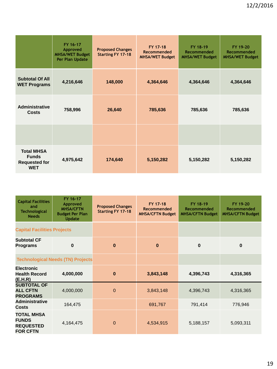|                                                                         | FY 16-17<br>Approved<br><b>MHSA/WET Budget</b><br>Per Plan Update | <b>Proposed Changes</b><br><b>Starting FY 17-18</b> | FY 17-18<br>Recommended<br><b>MHSA/WET Budget</b> | FY 18-19<br>Recommended<br><b>MHSA/WET Budget</b> | FY 19-20<br>Recommended<br><b>MHSA/WET Budget</b> |
|-------------------------------------------------------------------------|-------------------------------------------------------------------|-----------------------------------------------------|---------------------------------------------------|---------------------------------------------------|---------------------------------------------------|
| <b>Subtotal Of All</b><br><b>WET Programs</b>                           | 4,216,646                                                         | 148,000                                             | 4,364,646                                         | 4,364,646                                         | 4,364,646                                         |
| <b>Administrative</b><br>Costs                                          | 758,996                                                           | 26,640                                              | 785,636                                           | 785,636                                           | 785,636                                           |
|                                                                         |                                                                   |                                                     |                                                   |                                                   |                                                   |
| <b>Total MHSA</b><br><b>Funds</b><br><b>Requested for</b><br><b>WET</b> | 4,975,642                                                         | 174,640                                             | 5,150,282                                         | 5,150,282                                         | 5,150,282                                         |

| <b>Capital Facilities</b><br>and<br><b>Technological</b><br><b>Needs</b> | FY 16-17<br>Approved<br><b>MHSA/CFTN</b><br><b>Budget Per Plan</b><br><b>Update</b> | <b>Proposed Changes</b><br><b>Starting FY 17-18</b> | FY 17-18<br>Recommended<br><b>MHSA/CFTN Budget</b> | FY 18-19<br>Recommended<br><b>MHSA/CFTN Budget</b> | FY 19-20<br>Recommended<br><b>MHSA/CFTN Budget</b> |
|--------------------------------------------------------------------------|-------------------------------------------------------------------------------------|-----------------------------------------------------|----------------------------------------------------|----------------------------------------------------|----------------------------------------------------|
| <b>Capital Facilities Projects</b>                                       |                                                                                     |                                                     |                                                    |                                                    |                                                    |
| <b>Subtotal CF</b><br><b>Programs</b>                                    | $\bf{0}$                                                                            | $\bf{0}$                                            | $\bf{0}$                                           | $\bf{0}$                                           | $\bf{0}$                                           |
| <b>Technological Needs (TN) Projects</b>                                 |                                                                                     |                                                     |                                                    |                                                    |                                                    |
| <b>Electronic</b><br><b>Health Record</b><br>(E.H.R)                     | 4,000,000                                                                           | $\bf{0}$                                            | 3,843,148                                          | 4,396,743                                          | 4,316,365                                          |
| <b>SUBTOTAL OF</b><br><b>ALL CFTN</b><br><b>PROGRAMS</b>                 | 4,000,000                                                                           | 0                                                   | 3,843,148                                          | 4,396,743                                          | 4,316,365                                          |
| <b>Administrative</b><br><b>Costs</b>                                    | 164,475                                                                             |                                                     | 691,767                                            | 791,414                                            | 776,946                                            |
| <b>TOTAL MHSA</b><br><b>FUNDS</b><br><b>REQUESTED</b><br><b>FOR CFTN</b> | 4,164,475                                                                           | 0                                                   | 4,534,915                                          | 5,188,157                                          | 5,093,311                                          |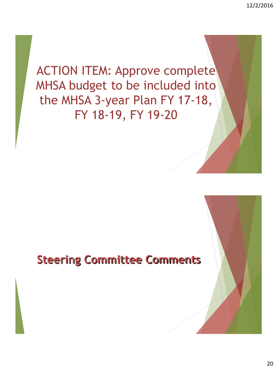# ACTION ITEM: Approve complete MHSA budget to be included into the MHSA 3-year Plan FY 17-18, FY 18-19, FY 19-20

### **Steering Committee Comments**